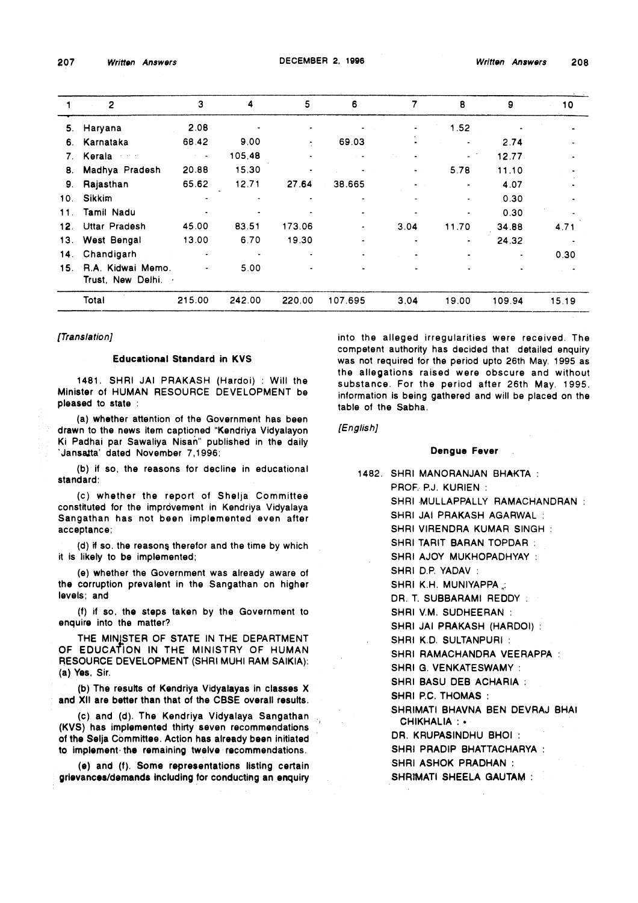|     | $\overline{2}$                         | 3                    | 4      | 5      | 6       | 7    | 8                  | 9         | 10    |
|-----|----------------------------------------|----------------------|--------|--------|---------|------|--------------------|-----------|-------|
| 5.  | Haryana                                | 2.08                 |        |        |         | ٠    | 1.52               |           |       |
| 6.  | Karnataka                              | 68.42                | 9.00   | ٠      | 69.03   |      |                    | 2.74      |       |
| 7.  | Kerala <b>Kerala</b>                   | $\sim 100$ m $^{-1}$ | 105.48 |        |         |      | $\Delta \sim 10^4$ | 12.77     |       |
| 8.  | Madhya Pradesh                         | 20.88                | 15.30  |        |         | ٠    | 5.78               | 11.10     |       |
| 9.  | Rajasthan                              | 65.62                | 12.71  | 27.64  | 38.665  |      | $\blacksquare$     | 4.07      |       |
| 10. | <b>Sikkim</b>                          |                      |        |        |         |      |                    | 0.30      |       |
| 11. | Tamil Nadu                             |                      |        |        |         |      | ٠                  | 0.30      |       |
| 12. | <b>Uttar Pradesh</b>                   | 45.00                | 83.51  | 173.06 | ٠       | 3.04 | 11.70              | 34.88     | 4.71  |
|     | 13. West Bengal                        | 13.00                | 6.70   | 19.30  |         | ٠    |                    | 24.32     |       |
| 14. | Chandigarh                             |                      |        |        |         |      |                    |           | 0.30  |
| 15. | R.A. Kidwai Memo.<br>Trust, New Delhi. | $\bullet$            | 5.00   |        |         |      |                    | $\bullet$ |       |
|     | Total                                  | 215.00               | 242.00 | 220.00 | 107.695 | 3.04 | 19.00              | 109.94    | 15.19 |

## *[Translation]*

## Educational Standard in KVS

1481. SHRI JAI PRAKASH (Hardoi) : Will the Minister of HUMAN RESOURCE DEVELOPMENT be pleased to state :

(a) whether attention of the Government has been drawn to the news item captioned "Kendriya Vidyalayon Ki Padhai par Sawaliya Nisah" published in the daily Jansalta' dated November 7,1996;

(b) if so, the reasons for decline in educational standard;

(c) whether the report of Shelja Committee constituted for the improvement in Kendriya Vidyalaya Sangathan has not been implemented even after acceptance;

(d) if so. the reasons therefor and the time by which it is likely to be implemented;

(e) whether the Government was already aware of the corruption prevalent in the Sangathan on higher levels; and

(f) if so, the steps taken by the Government to enquire into the matter?

THE MINISTER OF STATE IN THE DEPARTMENT OF EDUCATION IN THE MINISTRY OF HUMAN RESOURCE DEVELOPMENT (SHRI MUHI RAM SAIKIA): (a) Yes, Sir.

(b) The results of Kendriya Vidyalayas in classes X and XII are better than that of the CBSE overall results.

(c) and (d). The Kendriya Vidyalaya Sangathan (KVS) has implemented thirty seven recommendations of the Selja Committee. Action has already been initiated to implement the remaining twelve recommendations.

(e) and (f). Some representations listing certain grievances/demands including for conducting an enquiry into the alleged irregularities were received. The competent authority has decided that detailed enquiry was not required for the period upto 26th May, 1995 as the allegations raised were obscure and without substance. For the period after 26th May. 1995. information is being gathered and will be placed on the table of the Sabha.

*[English]*

### Dengue Fever

1482. SHRI MANORANJAN BHAKTA : PROF, PJ. KURIEN : SHRI MULLAPPALLY RAMACHANDRAN : SHRI JAI PRAKASH AGARWAL : SHRI VIRENDRA KUMAR SINGH : SHRI TARIT BARAN TOPDAR : SHRI AJOY MUKHOPADHYAY : SHRI D.P YADAV : SHRI K.H. MUNIYAPPA: DR. T. SUBBARAMI REDDY: SHRI V.M. SUDHEERAN : SHRI JAI PRAKASH (HARDOI) : SHRI K.D. SULTANPURI : SHRI RAMACHANDRA VEERAPPA : SHRI G. VENKATESWAMY : SHRI BASU DEB ACHARIA : SHRI PC. THOMAS : SHRIMATI BHAVNA BEN DEVRAJ BHAI CHIKHALIA : • DR. KRUPASINDHU BHOI : SHRI PRADIP BHATTACHARYA : SHRI ASHOK PRADHAN : SHRIMATI SHEELA GAUTAM :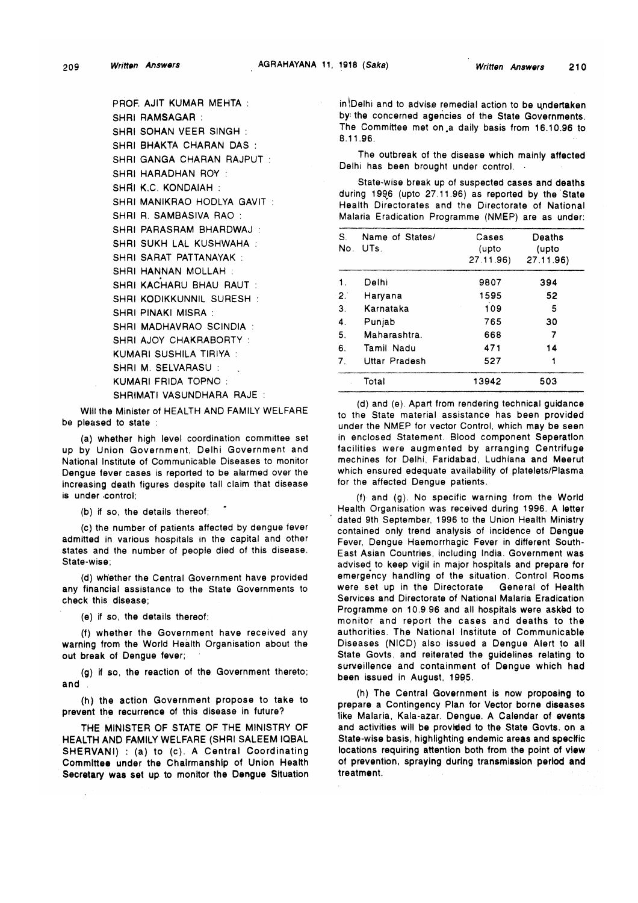PROF. AJIT KUMAR MEHTA : SHRI RAMSAGAR : SHRI SOHAN VEER SINGH : SHRI BHAKTA CHARAN DAS : SHRI GANGA CHARAN RAJPUT : SHRI HARADHAN ROY : SHRI K.C. KONDAIAH : SHRI MANIKRAO HODLYA GAVIT : SHRI R. SAMBASIVA RAO : SHRI PARASRAM BHARDWAJ : SHRI SUKH LAL KUSHWAHA : SHRI SARAT PATTANAYAK : SHRI HANNAN MOLLAH : SHRI KACHARU BHAU RAUT : SHRI KODIKKUNNIL SURESH : SHRI PINAKI MISRA : SHRI MADHAVRAO SCINDIA : SHRI AJOY CHAKRABORTY : KUMARI SUSHILA TIRIYA : SHRI M. SELVARASU : KUMARI FRIDA TOPNO : SHRIMATI VASUNDHARA RAJE :

Will the Minister of HEALTH AND FAMILY WELFARE be pleased to state :

(a) whether high level coordination committee set up by Union Government, Delhi Government and National Institute of Communicable Diseases to monitor Dengue fever cases is reported to be alarmed over the increasing death figures despite tall claim that disease is under -control;

(b) if so, the details thereof;

(c) the number of patients affected by dengue fever admitted in various hospitals in the capital and other states and the number of people died of this disease. State-wise;

(d) whether the Central Government have provided any financial assistance to the State Governments to check this disease;

(e) if so, the details thereof;

(f) whether the Government have received any warning from the World Health Organisation about the out break of Dengue fever;

(g) if so, the reaction of the Government thereto; and

(h) the action Government propose to take to prevent the recurrence of this disease in future?

THE MINISTER OF STATE OF THE MINISTRY OF HEALTH AND FAMILY WELFARE (SHRI SALEEM IQBAL SHERVANI) : (a) to (c). A Central Coordinating Committee under the Chairmanship of Union Health Secretary was set up to monitor the Dengue Situation in (Delhi and to advise remedial action to be undertaken by; the concerned agencies of the State Governments. The Committee met on .a daily basis from 16.10.96 to 8.11.96.

The outbreak of the disease which mainly affected Delhi has been brought under control.

State-wise break up of suspected cases and deaths during 1996 (upto 27.11.96) as reported by the State Health Directorates and the Directorate of National Malaria Eradication Programme (NMEP) are as under:

| S.<br>No. | Name of States/<br>UTs. | Cases<br>(upto<br>27.11.96) | Deaths<br>(upto<br>27.11.96) |
|-----------|-------------------------|-----------------------------|------------------------------|
| 1.        | Delhi                   | 9807                        | 394                          |
| 2.1       | Haryana                 | 1595                        | 52                           |
| 3.        | Karnataka               | 109                         | 5                            |
| 4.        | Punjab                  | 765                         | 30                           |
| 5.        | Maharashtra.            | 668                         | 7                            |
| 6.        | Tamil Nadu              | 471                         | 14                           |
| 7.        | Uttar Pradesh           | 527                         |                              |
|           | Total                   | 13942                       | 503                          |

(d) and (e). Apart from rendering technical guidance to the State material assistance has been provided under the NMEP for vector Control, which may be seen in enclosed Statement. Blood component Seperatlon facilities were augmented by arranging Centrifuge mechines for Delhi, Faridabad, Ludhiana and Meerut which ensured edequate availability of platelets/Plasma for the affected Dengue patients.

(f) and (g). No specific warning from the World Health Organisation was received during 1996. A letter dated 9th September, 1996 to the Union Health Ministry contained only trend analysis of incidence of Dengue Fever, Dengue Haemorrhagic Fever in different South-East Asian Countries, including India. Government was advised to keep vigil in major hospitals and prepare for emergency handling of the situation. Control Rooms were set up in the Directorate General of Health Services and Directorate of National Malaria Eradication Programme on 10.9.96 and all hospitals were asked to monitor and report the cases and deaths to the authorities. The National Institute of Communicable Diseases (NICD) also issued a Dengue Alert to all State Govts, and reiterated the guidelines relating to surveillence and containment of Dengue which had been issued in August, 1995.

(h) The Central Government is now proposing to prepare a Contingency Plan for Vector borne diseases like Malaria, Kala-azar. Dengue. A Calendar of events and activities will be provided to the State Govts, on a State-wise basis, highlighting endemic areas and specific locations requiring attention both from the point of view of prevention, spraying during transmission period and treatment.